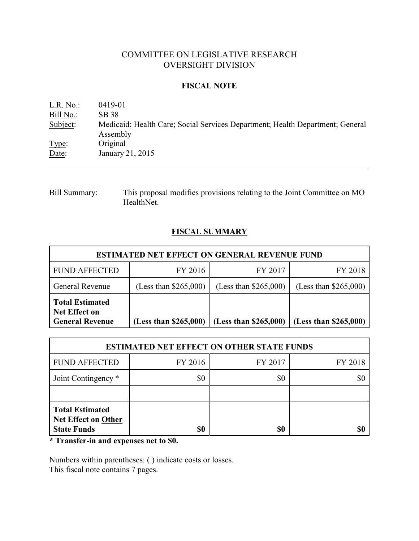# COMMITTEE ON LEGISLATIVE RESEARCH OVERSIGHT DIVISION

### **FISCAL NOTE**

L.R. No.: 0419-01 Bill No.: SB 38 Subject: Medicaid; Health Care; Social Services Department; Health Department; General Assembly Type: Original Date: January 21, 2015

Bill Summary: This proposal modifies provisions relating to the Joint Committee on MO HealthNet.

# **FISCAL SUMMARY**

| <b>ESTIMATED NET EFFECT ON GENERAL REVENUE FUND</b>                      |                         |                         |                         |  |
|--------------------------------------------------------------------------|-------------------------|-------------------------|-------------------------|--|
| <b>FUND AFFECTED</b>                                                     | FY 2016                 | FY 2017                 | FY 2018                 |  |
| <b>General Revenue</b>                                                   | (Less than $$265,000$ ) | (Less than $$265,000$ ) | (Less than $$265,000$ ) |  |
| <b>Total Estimated</b><br><b>Net Effect on</b><br><b>General Revenue</b> | (Less than \$265,000)   | (Less than \$265,000)   | (Less than \$265,000)   |  |

| <b>ESTIMATED NET EFFECT ON OTHER STATE FUNDS</b>                    |         |         |         |  |
|---------------------------------------------------------------------|---------|---------|---------|--|
| <b>FUND AFFECTED</b>                                                | FY 2016 | FY 2017 | FY 2018 |  |
| Joint Contingency *                                                 | \$0     | \$0     |         |  |
|                                                                     |         |         |         |  |
| <b>Total Estimated</b><br>Net Effect on Other<br><b>State Funds</b> | \$0     | \$0     |         |  |

**\* Transfer-in and expenses net to \$0.**

Numbers within parentheses: ( ) indicate costs or losses. This fiscal note contains 7 pages.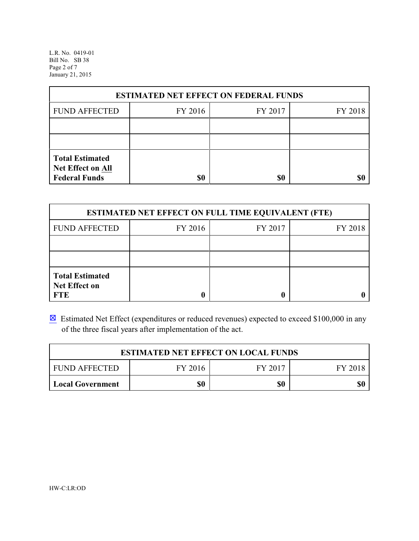L.R. No. 0419-01 Bill No. SB 38 Page 2 of 7 January 21, 2015

| <b>ESTIMATED NET EFFECT ON FEDERAL FUNDS</b>                        |         |         |         |  |
|---------------------------------------------------------------------|---------|---------|---------|--|
| <b>FUND AFFECTED</b>                                                | FY 2016 | FY 2017 | FY 2018 |  |
|                                                                     |         |         |         |  |
|                                                                     |         |         |         |  |
| <b>Total Estimated</b><br>Net Effect on All<br><b>Federal Funds</b> | \$0     | \$0     |         |  |

| <b>ESTIMATED NET EFFECT ON FULL TIME EQUIVALENT (FTE)</b>    |         |         |         |  |
|--------------------------------------------------------------|---------|---------|---------|--|
| <b>FUND AFFECTED</b>                                         | FY 2016 | FY 2017 | FY 2018 |  |
|                                                              |         |         |         |  |
|                                                              |         |         |         |  |
| <b>Total Estimated</b><br><b>Net Effect on</b><br><b>FTE</b> |         |         |         |  |

 $\boxtimes$  Estimated Net Effect (expenditures or reduced revenues) expected to exceed \$100,000 in any of the three fiscal years after implementation of the act.

| <b>ESTIMATED NET EFFECT ON LOCAL FUNDS</b> |         |         |         |  |
|--------------------------------------------|---------|---------|---------|--|
| <b>FUND AFFECTED</b>                       | FY 2016 | FY 2017 | FY 2018 |  |
| Local Government                           | \$0     | \$0     | \$0     |  |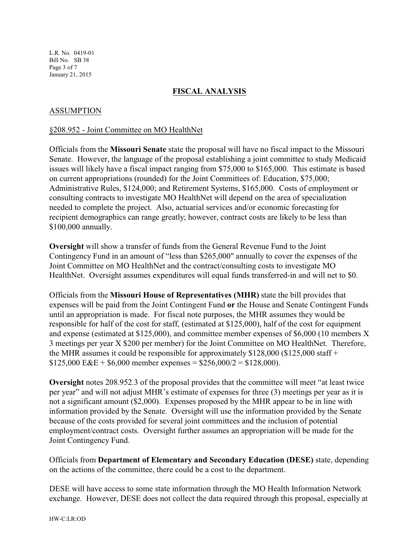L.R. No. 0419-01 Bill No. SB 38 Page 3 of 7 January 21, 2015

## **FISCAL ANALYSIS**

## ASSUMPTION

#### §208.952 - Joint Committee on MO HealthNet

Officials from the **Missouri Senate** state the proposal will have no fiscal impact to the Missouri Senate. However, the language of the proposal establishing a joint committee to study Medicaid issues will likely have a fiscal impact ranging from \$75,000 to \$165,000. This estimate is based on current appropriations (rounded) for the Joint Committees of: Education, \$75,000; Administrative Rules, \$124,000; and Retirement Systems, \$165,000. Costs of employment or consulting contracts to investigate MO HealthNet will depend on the area of specialization needed to complete the project. Also, actuarial services and/or economic forecasting for recipient demographics can range greatly; however, contract costs are likely to be less than \$100,000 annually.

**Oversight** will show a transfer of funds from the General Revenue Fund to the Joint Contingency Fund in an amount of "less than \$265,000" annually to cover the expenses of the Joint Committee on MO HealthNet and the contract/consulting costs to investigate MO HealthNet. Oversight assumes expenditures will equal funds transferred-in and will net to \$0.

Officials from the **Missouri House of Representatives (MHR)** state the bill provides that expenses will be paid from the Joint Contingent Fund **or** the House and Senate Contingent Funds until an appropriation is made. For fiscal note purposes, the MHR assumes they would be responsible for half of the cost for staff, (estimated at \$125,000), half of the cost for equipment and expense (estimated at \$125,000), and committee member expenses of \$6,000 (10 members X 3 meetings per year X \$200 per member) for the Joint Committee on MO HealthNet. Therefore, the MHR assumes it could be responsible for approximately \$128,000 (\$125,000 staff +  $$125,000$  E&E + \$6,000 member expenses = \$256,000/2 = \$128,000).

**Oversight** notes 208.952.3 of the proposal provides that the committee will meet "at least twice per year" and will not adjust MHR's estimate of expenses for three (3) meetings per year as it is not a significant amount (\$2,000). Expenses proposed by the MHR appear to be in line with information provided by the Senate. Oversight will use the information provided by the Senate because of the costs provided for several joint committees and the inclusion of potential employment/contract costs. Oversight further assumes an appropriation will be made for the Joint Contingency Fund.

Officials from **Department of Elementary and Secondary Education (DESE)** state, depending on the actions of the committee, there could be a cost to the department.

DESE will have access to some state information through the MO Health Information Network exchange. However, DESE does not collect the data required through this proposal, especially at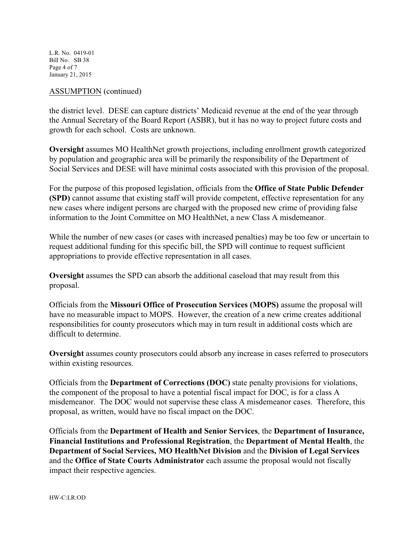L.R. No. 0419-01 Bill No. SB 38 Page 4 of 7 January 21, 2015

#### ASSUMPTION (continued)

the district level. DESE can capture districts' Medicaid revenue at the end of the year through the Annual Secretary of the Board Report (ASBR), but it has no way to project future costs and growth for each school. Costs are unknown.

**Oversight** assumes MO HealthNet growth projections, including enrollment growth categorized by population and geographic area will be primarily the responsibility of the Department of Social Services and DESE will have minimal costs associated with this provision of the proposal.

For the purpose of this proposed legislation, officials from the **Office of State Public Defender (SPD)** cannot assume that existing staff will provide competent, effective representation for any new cases where indigent persons are charged with the proposed new crime of providing false information to the Joint Committee on MO HealthNet, a new Class A misdemeanor.

While the number of new cases (or cases with increased penalties) may be too few or uncertain to request additional funding for this specific bill, the SPD will continue to request sufficient appropriations to provide effective representation in all cases.

**Oversight** assumes the SPD can absorb the additional caseload that may result from this proposal.

Officials from the **Missouri Office of Prosecution Services (MOPS)** assume the proposal will have no measurable impact to MOPS. However, the creation of a new crime creates additional responsibilities for county prosecutors which may in turn result in additional costs which are difficult to determine.

**Oversight** assumes county prosecutors could absorb any increase in cases referred to prosecutors within existing resources.

Officials from the **Department of Corrections (DOC)** state penalty provisions for violations, the component of the proposal to have a potential fiscal impact for DOC, is for a class A misdemeanor. The DOC would not supervise these class A misdemeanor cases. Therefore, this proposal, as written, would have no fiscal impact on the DOC.

Officials from the **Department of Health and Senior Services**, the **Department of Insurance, Financial Institutions and Professional Registration**, the **Department of Mental Health**, the **Department of Social Services, MO HealthNet Division** and the **Division of Legal Services** and the **Office of State Courts Administrator** each assume the proposal would not fiscally impact their respective agencies.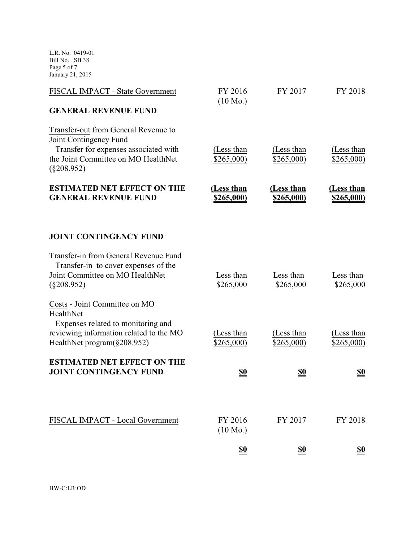L.R. No. 0419-01 Bill No. SB 38 Page 5 of 7 January 21, 2015

| FISCAL IMPACT - State Government                                                                             | FY 2016<br>$(10 \text{ Mo.})$   | FY 2017                  | FY 2018                         |
|--------------------------------------------------------------------------------------------------------------|---------------------------------|--------------------------|---------------------------------|
| <b>GENERAL REVENUE FUND</b>                                                                                  |                                 |                          |                                 |
| Transfer-out from General Revenue to<br>Joint Contingency Fund<br>Transfer for expenses associated with      | (Less than                      | (Less than               | (Less than                      |
| the Joint Committee on MO HealthNet<br>$(\S 208.952)$                                                        | \$265,000)                      | \$265,000)               | \$265,000)                      |
| <b>ESTIMATED NET EFFECT ON THE</b><br><b>GENERAL REVENUE FUND</b>                                            | (Less than<br><u>\$265,000)</u> | (Less than<br>\$265,000) | (Less than<br><u>\$265,000)</u> |
| <b>JOINT CONTINGENCY FUND</b>                                                                                |                                 |                          |                                 |
| Transfer-in from General Revenue Fund<br>Transfer-in to cover expenses of the                                |                                 |                          |                                 |
| Joint Committee on MO HealthNet<br>$(\S 208.952)$                                                            | Less than<br>\$265,000          | Less than<br>\$265,000   | Less than<br>\$265,000          |
| Costs - Joint Committee on MO<br>HealthNet                                                                   |                                 |                          |                                 |
| Expenses related to monitoring and<br>reviewing information related to the MO<br>HealthNet program(§208.952) | (Less than<br>\$265,000)        | (Less than<br>\$265,000  | (Less than<br>\$265,000)        |
| <b>ESTIMATED NET EFFECT ON THE</b><br><b>JOINT CONTINGENCY FUND</b>                                          | <u>\$0</u>                      | <u>\$0</u>               | <u>\$0</u>                      |
|                                                                                                              |                                 |                          |                                 |
| FISCAL IMPACT - Local Government                                                                             | FY 2016<br>$(10 \text{ Mo.})$   | FY 2017                  | FY 2018                         |
|                                                                                                              | $\underline{\mathbf{S0}}$       | <u>\$0</u>               | <u>\$0</u>                      |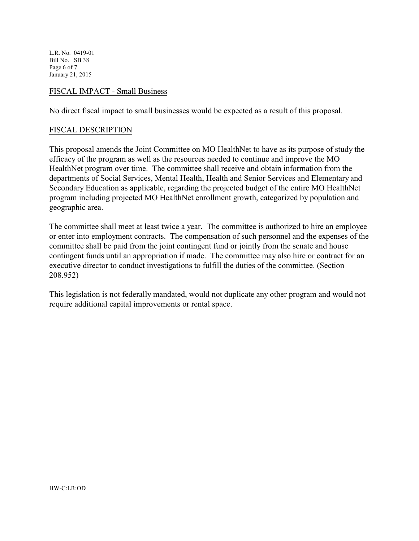L.R. No. 0419-01 Bill No. SB 38 Page 6 of 7 January 21, 2015

### FISCAL IMPACT - Small Business

No direct fiscal impact to small businesses would be expected as a result of this proposal.

#### FISCAL DESCRIPTION

This proposal amends the Joint Committee on MO HealthNet to have as its purpose of study the efficacy of the program as well as the resources needed to continue and improve the MO HealthNet program over time. The committee shall receive and obtain information from the departments of Social Services, Mental Health, Health and Senior Services and Elementary and Secondary Education as applicable, regarding the projected budget of the entire MO HealthNet program including projected MO HealthNet enrollment growth, categorized by population and geographic area.

The committee shall meet at least twice a year. The committee is authorized to hire an employee or enter into employment contracts. The compensation of such personnel and the expenses of the committee shall be paid from the joint contingent fund or jointly from the senate and house contingent funds until an appropriation if made. The committee may also hire or contract for an executive director to conduct investigations to fulfill the duties of the committee. (Section 208.952)

This legislation is not federally mandated, would not duplicate any other program and would not require additional capital improvements or rental space.